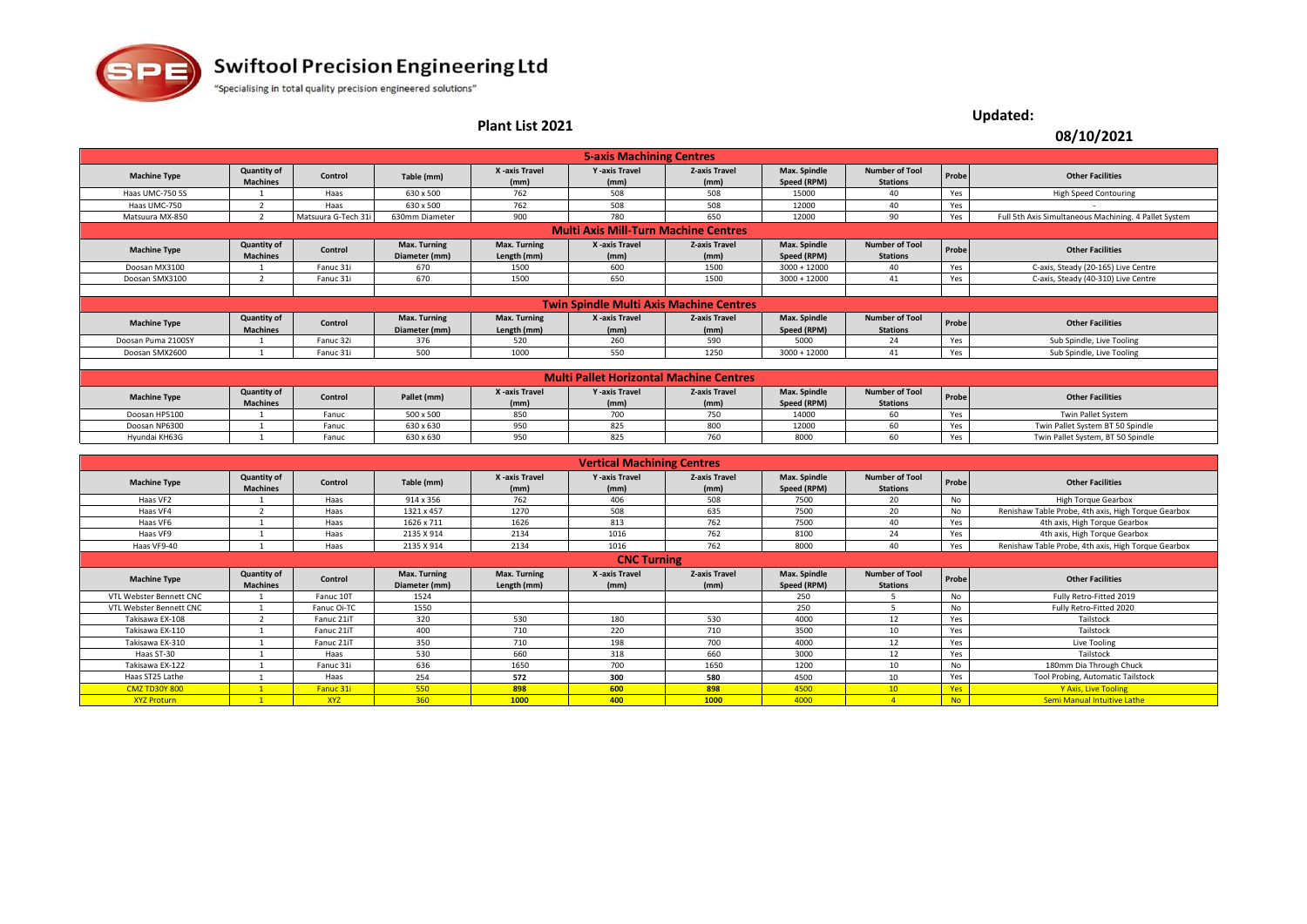

## **Plant List 2021 08/10/2021**

**Updated:**

|                                             |                                       |                     |                               |                                    | <b>5-axis Machining Centres</b>                |                              |                             |                                          |       |                                                       |
|---------------------------------------------|---------------------------------------|---------------------|-------------------------------|------------------------------------|------------------------------------------------|------------------------------|-----------------------------|------------------------------------------|-------|-------------------------------------------------------|
| <b>Machine Type</b>                         | <b>Quantity of</b><br><b>Machines</b> | Control             | Table (mm)                    | X -axis Travel<br>(mm)             | Y -axis Travel<br>(mm)                         | <b>Z-axis Travel</b><br>(mm) | Max. Spindle<br>Speed (RPM) | <b>Number of Tool</b><br><b>Stations</b> | Probe | <b>Other Facilities</b>                               |
| Haas UMC-750 5S                             |                                       | Haas                | 630 x 500                     | 762                                | 508                                            | 508                          | 15000                       | 40                                       | Yes   | <b>High Speed Contouring</b>                          |
| Haas UMC-750                                |                                       | Haas                | 630 x 500                     | 762                                | 508                                            | 508                          | 12000                       | 40                                       | Yes   |                                                       |
| Matsuura MX-850                             |                                       | Matsuura G-Tech 31i | 630mm Diameter                | 900                                | 780                                            | 650                          | 12000                       | 90                                       | Yes   | Full 5th Axis Simultaneous Machining. 4 Pallet System |
| <b>Multi Axis Mill-Turn Machine Centres</b> |                                       |                     |                               |                                    |                                                |                              |                             |                                          |       |                                                       |
| <b>Machine Type</b>                         | <b>Quantity of</b><br><b>Machines</b> | Control             | Max. Turning<br>Diameter (mm) | <b>Max. Turning</b><br>Length (mm) | X -axis Travel<br>(mm)                         | <b>Z-axis Travel</b><br>(mm) | Max. Spindle<br>Speed (RPM) | <b>Number of Tool</b><br><b>Stations</b> | Probe | <b>Other Facilities</b>                               |
| Doosan MX3100                               |                                       | Fanuc 31i           | 670                           | 1500                               | 600                                            | 1500                         | $3000 + 12000$              | 40                                       | Yes   | C-axis, Steady (20-165) Live Centre                   |
| Doosan SMX3100                              |                                       | Fanuc 31i           | 670                           | 1500                               | 650                                            | 1500                         | $3000 + 12000$              | 41                                       | Yes   | C-axis, Steady (40-310) Live Centre                   |
|                                             |                                       |                     |                               |                                    |                                                |                              |                             |                                          |       |                                                       |
|                                             |                                       |                     |                               |                                    | <b>Twin Spindle Multi Axis Machine Centres</b> |                              |                             |                                          |       |                                                       |
| <b>Machine Type</b>                         | <b>Quantity of</b><br><b>Machines</b> | Control             | Max. Turning<br>Diameter (mm) | Max. Turning<br>Length (mm)        | X -axis Travel<br>(mm)                         | <b>Z-axis Travel</b><br>(mm) | Max. Spindle<br>Speed (RPM) | <b>Number of Tool</b><br><b>Stations</b> | Probe | <b>Other Facilities</b>                               |
| Doosan Puma 2100SY                          |                                       | Fanuc 32i           | 376                           | 520                                | 260                                            | 590                          | 5000                        | 24                                       | Yes   | Sub Spindle, Live Tooling                             |
| Doosan SMX2600                              |                                       | Fanuc 31i           | 500                           | 1000                               | 550                                            | 1250                         | $3000 + 12000$              | 41                                       | Yes   | Sub Spindle, Live Tooling                             |
|                                             |                                       |                     |                               |                                    |                                                |                              |                             |                                          |       |                                                       |
|                                             |                                       |                     |                               |                                    | <b>Multi Pallet Horizontal Machine Centres</b> |                              |                             |                                          |       |                                                       |
| <b>Machine Type</b>                         | Quantity of<br><b>Machines</b>        | Control             | Pallet (mm)                   | X -axis Travel<br>(mm)             | <b>Y</b> -axis Travel<br>(mm)                  | <b>Z-axis Travel</b><br>(mm) | Max. Spindle<br>Speed (RPM) | <b>Number of Tool</b><br><b>Stations</b> | Probe | <b>Other Facilities</b>                               |
| Doosan HP5100                               |                                       | Fanuc               | 500 x 500                     | 850                                | 700                                            | 750                          | 14000                       | 60                                       | Yes   | Twin Pallet System                                    |
| Doosan NP6300                               |                                       | Fanuc               | 630 x 630                     | 950                                | 825                                            | 800                          | 12000                       | 60                                       | Yes   | Twin Pallet System BT 50 Spindle                      |
| Hyundai KH63G                               |                                       | Fanuc               | 630 x 630                     | 950                                | 825                                            | 760                          | 8000                        | 60                                       | Yes   | Twin Pallet System, BT 50 Spindle                     |

|                         |                                       |             |                               |                                    | <b>Vertical Machining Centres</b> |                              |                             |                                          |            |                                                     |
|-------------------------|---------------------------------------|-------------|-------------------------------|------------------------------------|-----------------------------------|------------------------------|-----------------------------|------------------------------------------|------------|-----------------------------------------------------|
| <b>Machine Type</b>     | <b>Quantity of</b><br><b>Machines</b> | Control     | Table (mm)                    | X -axis Travel<br>(mm)             | <b>Y</b> -axis Travel<br>(mm)     | <b>Z-axis Travel</b><br>(mm) | Max. Spindle<br>Speed (RPM) | <b>Number of Tool</b><br><b>Stations</b> | Probe      | <b>Other Facilities</b>                             |
| Haas VF2                |                                       | Haas        | 914 x 356                     | 762                                | 406                               | 508                          | 7500                        | 20                                       | No         | <b>High Torque Gearbox</b>                          |
| Haas VF4                |                                       | Haas        | 1321 x 457                    | 1270                               | 508                               | 635                          | 7500                        | 20                                       | <b>No</b>  | Renishaw Table Probe, 4th axis, High Torque Gearbox |
| Haas VF6                |                                       | Haas        | 1626 x 711                    | 1626                               | 813                               | 762                          | 7500                        | 40                                       | Yes        | 4th axis, High Torque Gearbox                       |
| Haas VF9                |                                       | Haas        | 2135 X 914                    | 2134                               | 1016                              | 762                          | 8100                        | 24                                       | Yes        | 4th axis, High Torque Gearbox                       |
| Haas VF9-40             |                                       | Haas        | 2135 X 914                    | 2134                               | 1016                              | 762                          | 8000                        | 40                                       | Yes        | Renishaw Table Probe, 4th axis, High Torque Gearbox |
|                         |                                       |             |                               |                                    | <b>CNC Turning</b>                |                              |                             |                                          |            |                                                     |
| <b>Machine Type</b>     | <b>Quantity of</b><br><b>Machines</b> | Control     | Max. Turning<br>Diameter (mm) | <b>Max. Turning</b><br>Length (mm) | X -axis Travel<br>(mm)            | <b>Z-axis Travel</b><br>(mm) | Max. Spindle<br>Speed (RPM) | <b>Number of Tool</b><br><b>Stations</b> | Probe      | <b>Other Facilities</b>                             |
| VTL Webster Bennett CNC |                                       | Fanuc 10T   | 1524                          |                                    |                                   |                              | 250                         |                                          | <b>No</b>  | Fully Retro-Fitted 2019                             |
| VTL Webster Bennett CNC |                                       | Fanuc Oi-TC | 1550                          |                                    |                                   |                              | 250                         |                                          | No         | Fully Retro-Fitted 2020                             |
| Takisawa EX-108         |                                       | Fanuc 21iT  | 320                           | 530                                | 180                               | 530                          | 4000                        | 12                                       | Yes        | Tailstock                                           |
| Takisawa EX-110         |                                       | Fanuc 21iT  | 400                           | 710                                | 220                               | 710                          | 3500                        | 10                                       | Yes        | Tailstock                                           |
| Takisawa EX-310         |                                       | Fanuc 21iT  | 350                           | 710                                | 198                               | 700                          | 4000                        | 12                                       | Yes        | Live Tooling                                        |
| Haas ST-30              |                                       | Haas        | 530                           | 660                                | 318                               | 660                          | 3000                        | 12                                       | Yes        | Tailstock                                           |
| Takisawa EX-122         |                                       | Fanuc 31i   | 636                           | 1650                               | 700                               | 1650                         | 1200                        | 10                                       | No         | 180mm Dia Through Chuck                             |
| Haas ST25 Lathe         |                                       | Haas        | 254                           | 572                                | 300                               | 580                          | 4500                        | 10                                       | Yes        | Tool Probing, Automatic Tailstock                   |
| <b>CMZ TD30Y 800</b>    |                                       | Fanuc 31i   | 550                           | 898                                | 600                               | 898                          | 4500                        | 10                                       | <b>Yes</b> | Y Axis, Live Tooling                                |
| <b>XYZ Proturn</b>      |                                       | <b>XYZ</b>  | 360                           | 1000                               | 400                               | 1000                         | 4000                        |                                          | <b>No</b>  | <b>Semi Manual Intuitive Lathe</b>                  |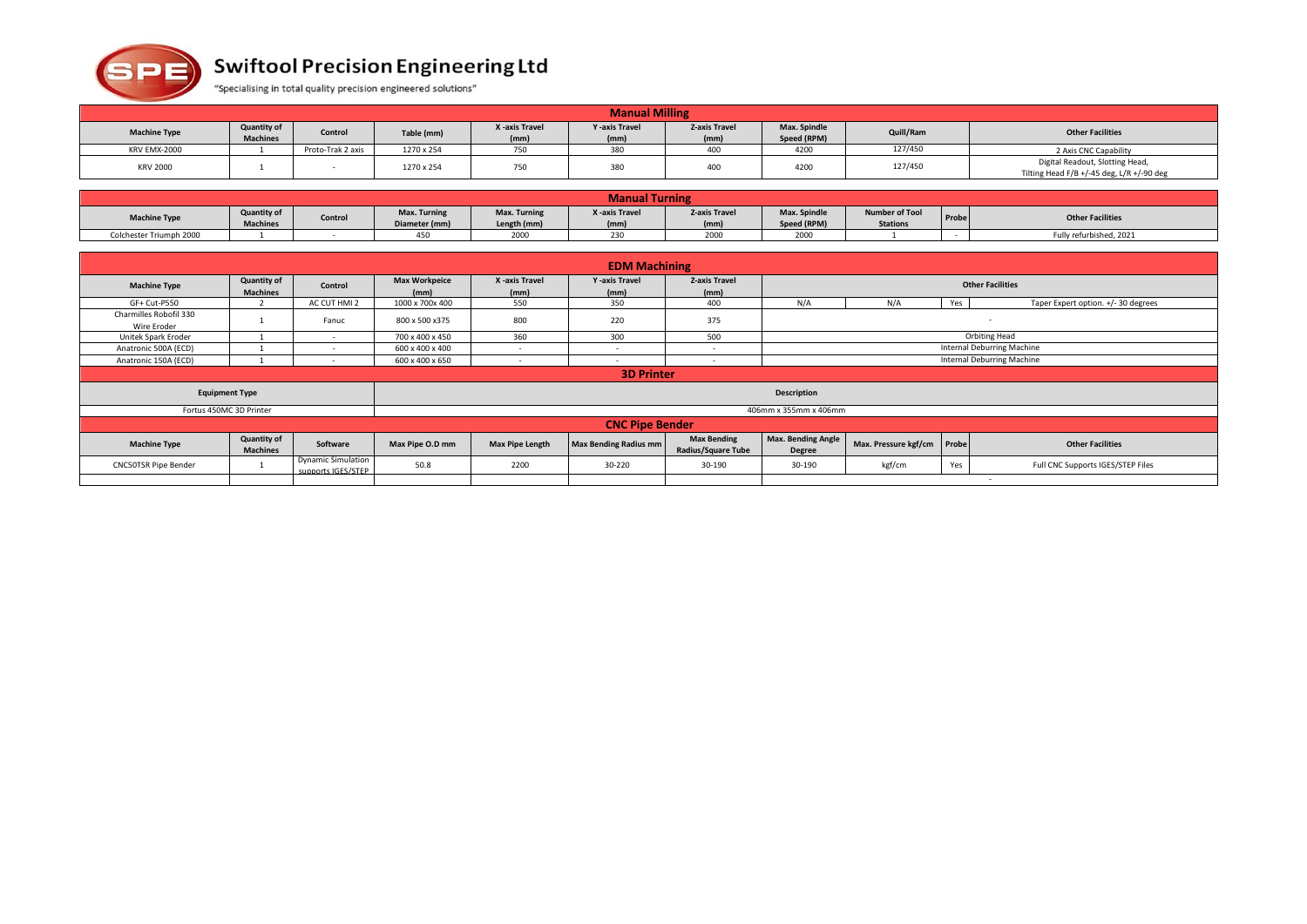

## **Swiftool Precision Engineering Ltd**

"Specialising in total quality precision engineered solutions"

| <b>Manual Milling</b> |                                       |                   |            |                        |                               |                              |                             |           |                                                                              |
|-----------------------|---------------------------------------|-------------------|------------|------------------------|-------------------------------|------------------------------|-----------------------------|-----------|------------------------------------------------------------------------------|
| <b>Machine Type</b>   | <b>Quantity of</b><br><b>Machines</b> | Control           | Table (mm) | X -axis Travel<br>(mm) | <b>Y</b> -axis Travel<br>(mm) | <b>Z-axis Travel</b><br>(mm) | Max. Spindle<br>Speed (RPM) | Quill/Ram | <b>Other Facilities</b>                                                      |
| <b>KRV EMX-2000</b>   |                                       | Proto-Trak 2 axis | 1270 x 254 | 750                    | 380                           | 400                          | 4200                        | 127/450   | 2 Axis CNC Capability                                                        |
| <b>KRV 2000</b>       |                                       |                   | 1270 x 254 | 750                    | 380                           | 400                          | 4200                        | 127/450   | Digital Readout, Slotting Head,<br>Tilting Head F/B +/-45 deg, L/R +/-90 deg |

|                         | <b>Manual Turning</b>                 |         |                               |                             |                        |                              |                             |                                          |       |                         |
|-------------------------|---------------------------------------|---------|-------------------------------|-----------------------------|------------------------|------------------------------|-----------------------------|------------------------------------------|-------|-------------------------|
| <b>Machine Type</b>     | <b>Quantity of</b><br><b>Machines</b> | Control | Max. Turning<br>Diameter (mm) | Max. Turning<br>Length (mm) | X -axis Travel<br>(mm) | <b>Z-axis Travel</b><br>(mm) | Max. Spindle<br>Speed (RPM) | <b>Number of Tool</b><br><b>Stations</b> | Probe | <b>Other Facilities</b> |
| Colchester Triumph 2000 |                                       |         |                               | 2000                        | $\sim$<br>230          | 2000                         | 2000                        |                                          |       | Fully refurbished, 2021 |

|                                       |                                       |                                                 |                              |                          | <b>EDM Machining</b>          |                                                 |                                     |                            |     |                                     |
|---------------------------------------|---------------------------------------|-------------------------------------------------|------------------------------|--------------------------|-------------------------------|-------------------------------------------------|-------------------------------------|----------------------------|-----|-------------------------------------|
| <b>Machine Type</b>                   | <b>Quantity of</b><br><b>Machines</b> | Control                                         | <b>Max Workpeice</b><br>(mm) | X -axis Travel<br>(mm)   | <b>Y</b> -axis Travel<br>(mm) | <b>Z-axis Travel</b><br>(mm)                    |                                     |                            |     | <b>Other Facilities</b>             |
| GF+ Cut-P550                          |                                       | AC CUT HMI 2                                    | 1000 x 700x 400              | 550                      | 350                           | 400                                             | N/A                                 | N/A                        | Yes | Taper Expert option. +/- 30 degrees |
| Charmilles Robofil 330<br>Wire Eroder |                                       | Fanuc                                           | 800 x 500 x 375              | 800                      | 220                           | 375                                             |                                     |                            |     | .                                   |
| Unitek Spark Eroder                   |                                       | $\sim$                                          | 700 x 400 x 450              | 360                      | 300                           | 500                                             | <b>Orbiting Head</b>                |                            |     |                                     |
| Anatronic 500A (ECD)                  |                                       |                                                 | 600 x 400 x 400              | $\overline{\phantom{a}}$ |                               | $\overline{\phantom{a}}$                        | Internal Deburring Machine          |                            |     |                                     |
| Anatronic 150A (ECD)                  |                                       |                                                 | 600 x 400 x 650              | $\sim$                   | $\sim$                        | $\overline{\phantom{a}}$                        | Internal Deburring Machine          |                            |     |                                     |
|                                       | <b>3D Printer</b>                     |                                                 |                              |                          |                               |                                                 |                                     |                            |     |                                     |
|                                       | <b>Equipment Type</b>                 |                                                 |                              |                          |                               |                                                 | <b>Description</b>                  |                            |     |                                     |
|                                       | Fortus 450MC 3D Printer               |                                                 |                              |                          |                               |                                                 | 406mm x 355mm x 406mm               |                            |     |                                     |
|                                       |                                       |                                                 |                              |                          | <b>CNC Pipe Bender</b>        |                                                 |                                     |                            |     |                                     |
| <b>Machine Type</b>                   | <b>Quantity of</b><br><b>Machines</b> | Software                                        | Max Pipe O.D mm              | <b>Max Pipe Length</b>   | Max Bending Radius mm         | <b>Max Bending</b><br><b>Radius/Square Tube</b> | Max. Bending Angle<br><b>Degree</b> | Max. Pressure kgf/cm Probe |     | <b>Other Facilities</b>             |
| <b>CNC50TSR Pipe Bender</b>           |                                       | <b>Dynamic Simulation</b><br>supports IGES/STEP | 50.8                         | 2200                     | 30-220                        | 30-190                                          | 30-190                              | kgf/cm                     | Yes | Full CNC Supports IGES/STEP Files   |
|                                       |                                       |                                                 |                              |                          |                               |                                                 |                                     |                            |     | . .                                 |